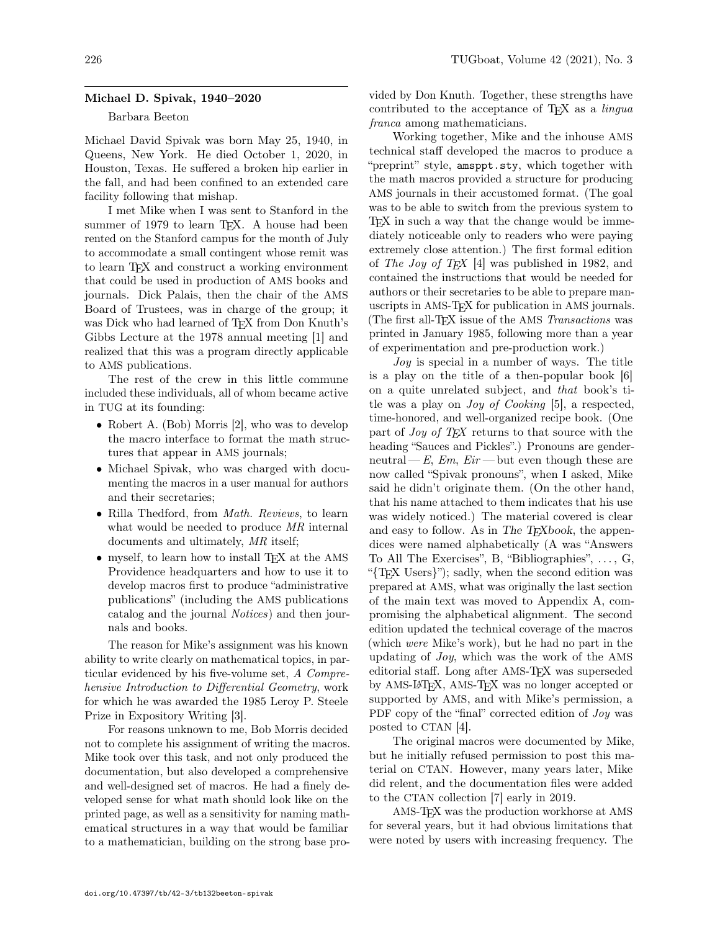## Michael D. Spivak, 1940–2020

## Barbara Beeton

Michael David Spivak was born May 25, 1940, in Queens, New York. He died October 1, 2020, in Houston, Texas. He suffered a broken hip earlier in the fall, and had been confined to an extended care facility following that mishap.

I met Mike when I was sent to Stanford in the summer of 1979 to learn T<sub>E</sub>X. A house had been rented on the Stanford campus for the month of July to accommodate a small contingent whose remit was to learn TEX and construct a working environment that could be used in production of AMS books and journals. Dick Palais, then the chair of the AMS Board of Trustees, was in charge of the group; it was Dick who had learned of TEX from Don Knuth's Gibbs Lecture at the 1978 annual meeting [\[1\]](#page-1-0) and realized that this was a program directly applicable to AMS publications.

The rest of the crew in this little commune included these individuals, all of whom became active in TUG at its founding:

- Robert A. (Bob) Morris [\[2\]](#page-1-1), who was to develop the macro interface to format the math structures that appear in AMS journals;
- Michael Spivak, who was charged with documenting the macros in a user manual for authors and their secretaries;
- Rilla Thedford, from *Math. Reviews*, to learn what would be needed to produce MR internal documents and ultimately, MR itself;
- myself, to learn how to install TFX at the AMS Providence headquarters and how to use it to develop macros first to produce "administrative publications" (including the AMS publications catalog and the journal Notices) and then journals and books.

The reason for Mike's assignment was his known ability to write clearly on mathematical topics, in particular evidenced by his five-volume set, A Comprehensive Introduction to Differential Geometry, work for which he was awarded the 1985 Leroy P. Steele Prize in Expository Writing [\[3\]](#page-1-2).

For reasons unknown to me, Bob Morris decided not to complete his assignment of writing the macros. Mike took over this task, and not only produced the documentation, but also developed a comprehensive and well-designed set of macros. He had a finely developed sense for what math should look like on the printed page, as well as a sensitivity for naming mathematical structures in a way that would be familiar to a mathematician, building on the strong base provided by Don Knuth. Together, these strengths have contributed to the acceptance of T<sub>E</sub>X as a *lingua* franca among mathematicians.

Working together, Mike and the inhouse AMS technical staff developed the macros to produce a "preprint" style, amsppt.sty, which together with the math macros provided a structure for producing AMS journals in their accustomed format. (The goal was to be able to switch from the previous system to T<sub>EX</sub> in such a way that the change would be immediately noticeable only to readers who were paying extremely close attention.) The first formal edition of The Joy of TEX [\[4\]](#page-1-3) was published in 1982, and contained the instructions that would be needed for authors or their secretaries to be able to prepare manuscripts in AMS-TEX for publication in AMS journals. (The first all-T<sub>EX</sub> issue of the AMS *Transactions* was printed in January 1985, following more than a year of experimentation and pre-production work.)

Joy is special in a number of ways. The title is a play on the title of a then-popular book [\[6\]](#page-1-4) on a quite unrelated subject, and that book's title was a play on  $Joy$  of Cooking [\[5\]](#page-1-5), a respected, time-honored, and well-organized recipe book. (One part of Joy of TEX returns to that source with the heading "Sauces and Pickles".) Pronouns are genderneutral— E, Em, Eir—but even though these are now called "Spivak pronouns", when I asked, Mike said he didn't originate them. (On the other hand, that his name attached to them indicates that his use was widely noticed.) The material covered is clear and easy to follow. As in The T<sub>E</sub>Xbook, the appendices were named alphabetically (A was "Answers To All The Exercises", B, "Bibliographies", . . . , G, "{TEX Users}"); sadly, when the second edition was prepared at AMS, what was originally the last section of the main text was moved to Appendix A, compromising the alphabetical alignment. The second edition updated the technical coverage of the macros (which were Mike's work), but he had no part in the updating of Joy, which was the work of the AMS editorial staff. Long after AMS-TEX was superseded by AMS-LATEX, AMS-TEX was no longer accepted or supported by AMS, and with Mike's permission, a PDF copy of the "final" corrected edition of *Joy* was posted to CTAN [\[4\]](#page-1-3).

The original macros were documented by Mike, but he initially refused permission to post this material on CTAN. However, many years later, Mike did relent, and the documentation files were added to the CTAN collection [\[7\]](#page-1-6) early in 2019.

AMS-TEX was the production workhorse at AMS for several years, but it had obvious limitations that were noted by users with increasing frequency. The